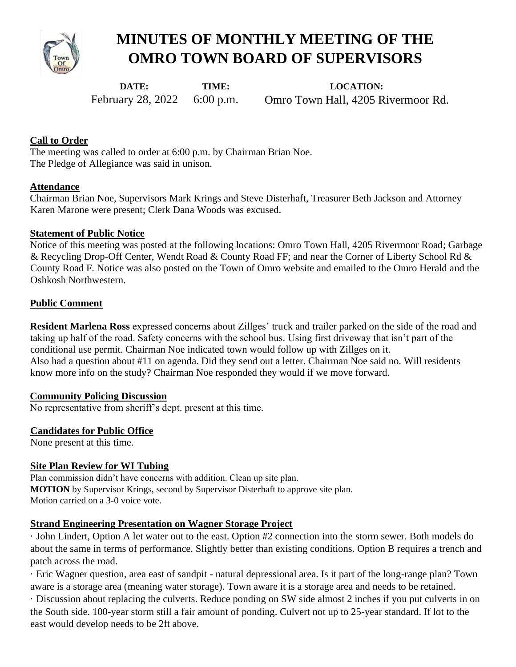

# **MINUTES OF MONTHLY MEETING OF THE OMRO TOWN BOARD OF SUPERVISORS**

**DATE:**  February 28, 2022 **TIME:**  6:00 p.m.

**LOCATION:**  Omro Town Hall, 4205 Rivermoor Rd.

## **Call to Order**

The meeting was called to order at 6:00 p.m. by Chairman Brian Noe. The Pledge of Allegiance was said in unison.

## **Attendance**

Chairman Brian Noe, Supervisors Mark Krings and Steve Disterhaft, Treasurer Beth Jackson and Attorney Karen Marone were present; Clerk Dana Woods was excused.

## **Statement of Public Notice**

Notice of this meeting was posted at the following locations: Omro Town Hall, 4205 Rivermoor Road; Garbage & Recycling Drop-Off Center, Wendt Road & County Road FF; and near the Corner of Liberty School Rd & County Road F. Notice was also posted on the Town of Omro website and emailed to the Omro Herald and the Oshkosh Northwestern.

## **Public Comment**

**Resident Marlena Ross** expressed concerns about Zillges' truck and trailer parked on the side of the road and taking up half of the road. Safety concerns with the school bus. Using first driveway that isn't part of the conditional use permit. Chairman Noe indicated town would follow up with Zillges on it. Also had a question about #11 on agenda. Did they send out a letter. Chairman Noe said no. Will residents know more info on the study? Chairman Noe responded they would if we move forward.

## **Community Policing Discussion**

No representative from sheriff's dept. present at this time.

## **Candidates for Public Office**

None present at this time.

## **Site Plan Review for WI Tubing**

Plan commission didn't have concerns with addition. Clean up site plan. **MOTION** by Supervisor Krings, second by Supervisor Disterhaft to approve site plan. Motion carried on a 3-0 voice vote.

## **Strand Engineering Presentation on Wagner Storage Project**

· John Lindert, Option A let water out to the east. Option #2 connection into the storm sewer. Both models do about the same in terms of performance. Slightly better than existing conditions. Option B requires a trench and patch across the road.

· Eric Wagner question, area east of sandpit - natural depressional area. Is it part of the long-range plan? Town aware is a storage area (meaning water storage). Town aware it is a storage area and needs to be retained.

· Discussion about replacing the culverts. Reduce ponding on SW side almost 2 inches if you put culverts in on the South side. 100-year storm still a fair amount of ponding. Culvert not up to 25-year standard. If lot to the east would develop needs to be 2ft above.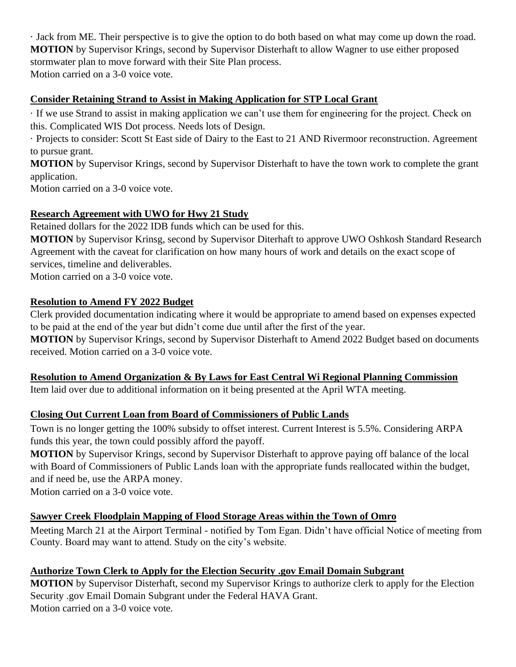· Jack from ME. Their perspective is to give the option to do both based on what may come up down the road. **MOTION** by Supervisor Krings, second by Supervisor Disterhaft to allow Wagner to use either proposed stormwater plan to move forward with their Site Plan process.

Motion carried on a 3-0 voice vote.

# **Consider Retaining Strand to Assist in Making Application for STP Local Grant**

· If we use Strand to assist in making application we can't use them for engineering for the project. Check on this. Complicated WIS Dot process. Needs lots of Design.

· Projects to consider: Scott St East side of Dairy to the East to 21 AND Rivermoor reconstruction. Agreement to pursue grant.

**MOTION** by Supervisor Krings, second by Supervisor Disterhaft to have the town work to complete the grant application.

Motion carried on a 3-0 voice vote.

# **Research Agreement with UWO for Hwy 21 Study**

Retained dollars for the 2022 IDB funds which can be used for this.

**MOTION** by Supervisor Krinsg, second by Supervisor Diterhaft to approve UWO Oshkosh Standard Research Agreement with the caveat for clarification on how many hours of work and details on the exact scope of services, timeline and deliverables. Motion carried on a 3-0 voice vote.

# **Resolution to Amend FY 2022 Budget**

Clerk provided documentation indicating where it would be appropriate to amend based on expenses expected to be paid at the end of the year but didn't come due until after the first of the year.

**MOTION** by Supervisor Krings, second by Supervisor Disterhaft to Amend 2022 Budget based on documents received. Motion carried on a 3-0 voice vote.

# **Resolution to Amend Organization & By Laws for East Central Wi Regional Planning Commission**

Item laid over due to additional information on it being presented at the April WTA meeting.

# **Closing Out Current Loan from Board of Commissioners of Public Lands**

Town is no longer getting the 100% subsidy to offset interest. Current Interest is 5.5%. Considering ARPA funds this year, the town could possibly afford the payoff.

**MOTION** by Supervisor Krings, second by Supervisor Disterhaft to approve paying off balance of the local with Board of Commissioners of Public Lands loan with the appropriate funds reallocated within the budget, and if need be, use the ARPA money.

Motion carried on a 3-0 voice vote.

# **Sawyer Creek Floodplain Mapping of Flood Storage Areas within the Town of Omro**

Meeting March 21 at the Airport Terminal - notified by Tom Egan. Didn't have official Notice of meeting from County. Board may want to attend. Study on the city's website.

# **Authorize Town Clerk to Apply for the Election Security .gov Email Domain Subgrant**

**MOTION** by Supervisor Disterhaft, second my Supervisor Krings to authorize clerk to apply for the Election Security .gov Email Domain Subgrant under the Federal HAVA Grant. Motion carried on a 3-0 voice vote.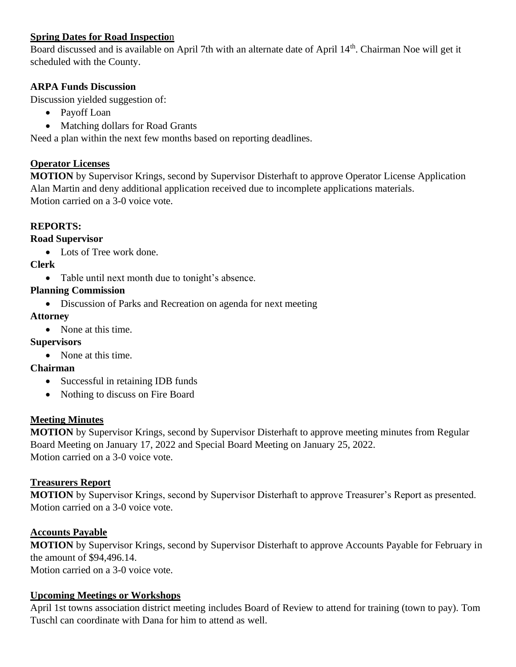# **Spring Dates for Road Inspectio**n

Board discussed and is available on April 7th with an alternate date of April 14th. Chairman Noe will get it scheduled with the County.

## **ARPA Funds Discussion**

Discussion yielded suggestion of:

- Payoff Loan
- Matching dollars for Road Grants

Need a plan within the next few months based on reporting deadlines.

## **Operator Licenses**

**MOTION** by Supervisor Krings, second by Supervisor Disterhaft to approve Operator License Application Alan Martin and deny additional application received due to incomplete applications materials. Motion carried on a 3-0 voice vote.

# **REPORTS:**

## **Road Supervisor**

• Lots of Tree work done.

## **Clerk**

• Table until next month due to tonight's absence.

## **Planning Commission**

• Discussion of Parks and Recreation on agenda for next meeting

## **Attorney**

• None at this time.

# **Supervisors**

• None at this time.

## **Chairman**

- Successful in retaining IDB funds
- Nothing to discuss on Fire Board

## **Meeting Minutes**

**MOTION** by Supervisor Krings, second by Supervisor Disterhaft to approve meeting minutes from Regular Board Meeting on January 17, 2022 and Special Board Meeting on January 25, 2022. Motion carried on a 3-0 voice vote.

## **Treasurers Report**

**MOTION** by Supervisor Krings, second by Supervisor Disterhaft to approve Treasurer's Report as presented. Motion carried on a 3-0 voice vote.

## **Accounts Payable**

**MOTION** by Supervisor Krings, second by Supervisor Disterhaft to approve Accounts Payable for February in the amount of \$94,496.14.

Motion carried on a 3-0 voice vote.

## **Upcoming Meetings or Workshops**

April 1st towns association district meeting includes Board of Review to attend for training (town to pay). Tom Tuschl can coordinate with Dana for him to attend as well.